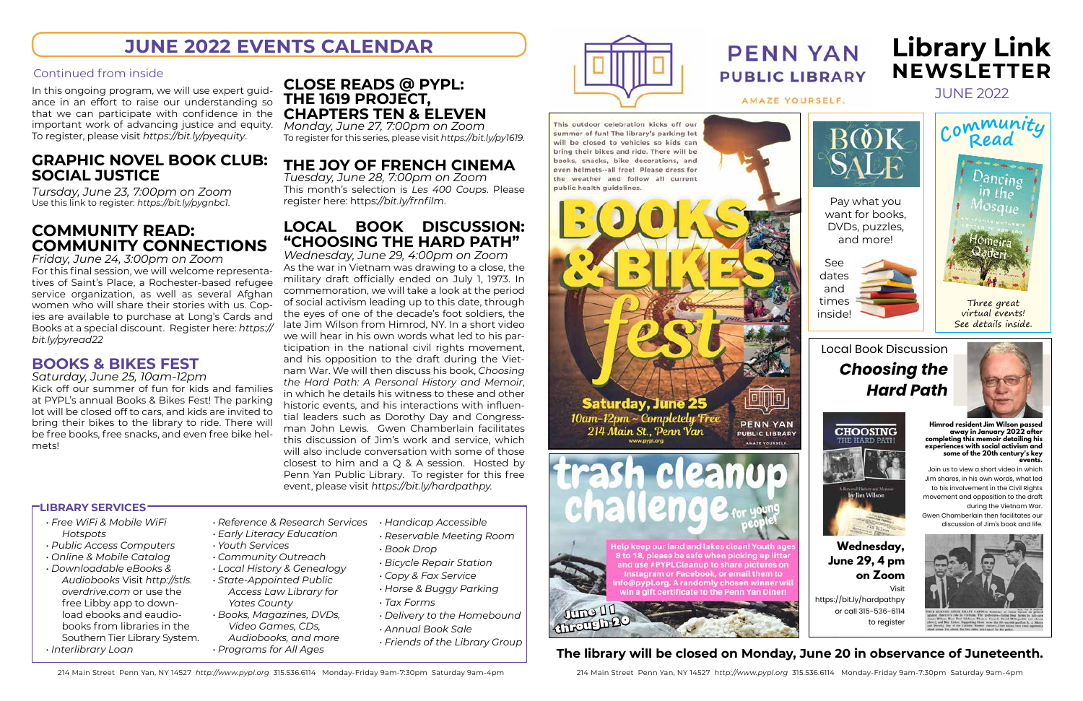# June 2022 **Library Link Newsletter**

- *• Free WiFi & Mobile WiFi Hotspots*
- *• Public Access Computers*
- *• Online & Mobile Catalog*
- *• Downloadable eBooks & Audiobooks* Visit *http://stls. overdrive.com* or use the free Libby app to download ebooks and eaudiobooks from libraries in the Southern Tier Library System. *• Interlibrary Loan*
- *• Reference & Research Services • Handicap Accessible*
- *• Early Literacy Education*
- *• Youth Services • Community Outreach*
- *• Local History & Genealogy*
- *• State-Appointed Public Access Law Library for Yates County*
- *• Books, Magazines, DVDs, Video Games, CDs, Audiobooks, and more*
- *• Programs for All Ages*
- *• Reservable Meeting Room*
	- *• Book Drop*
	- *• Bicycle Repair Station*
	- *• Copy & Fax Service*
	- *• Horse & Buggy Parking*
	- *• Tax Forms*
	- *• Delivery to the Homebound*
	- *• Annual Book Sale*
	- *• Friends of the Library Group*





AMAZE YOURSELF.

This outdoor celebration kicks off our summer of fun! The library's parking lot will be closed to vehicles so kids can bring their bikes and ride. There will be books, snacks, bike decorations, and even helmets--all free! Please dress for the weather and follow all current public health guidelines.



**Saturday, June 25** 10am-12pm ~ Completely Tree 214 Main St., Penn Yan



**PUBLIC LIBRARY** 

AMAZE VOURSELF

Help keep our land and lakes clean! Youth age 8 to 18, please be safe when picking up litter and use #PYPLCteanup to share pictures on

Instagram or Facebook, or email them to o@pypl.org. A randomly chosen winner will vin a gift certificate to the Penn Yan Diner!

#### **LIBRARY SERVICES**

In this ongoing program, we will use expert guidance in an effort to raise our understanding so that we can participate with confidence in the important work of advancing justice and equity. To register, please visit *https://bit.ly/pyequity*.

# **graphic novel book club: social justice**

*Tursday, June 23, 7:00pm on Zoom* Use this link to register: *https://bit.ly/pygnbc1*.

# **community read: community connections**

*Friday, June 24, 3:00pm on Zoom* For this final session, we will welcome representatives of Saint's Place, a Rochester-based refugee service organization, as well as several Afghan women who will share their stories with us. Copies are available to purchase at Long's Cards and Books at a special discount. Register here: *https:// bit.ly/pyread22* 

#### **books & bikes fest**

*Saturday, June 25, 10am-12pm*

Kick off our summer of fun for kids and families at PYPL's annual Books & Bikes Fest! The parking lot will be closed off to cars, and kids are invited to bring their bikes to the library to ride. There will be free books, free snacks, and even free bike helmets!

## **close reads @ pypl: the 1619 project, chapters ten & eleven**

*Monday, June 27, 7:00pm on Zoom* To register for this series, please visit *https://bit.ly/py1619.*

# **the joy of french cinema**

*Tuesday, June 28, 7:00pm on Zoom* This month's selection is *Les 400 Coups*. Please register here: https:*//bit.ly/frnfilm*.

# **local book discussion: "choosing the hard path"**

*Wednesday, June 29, 4:00pm on Zoom* As the war in Vietnam was drawing to a close, the military draft officially ended on July 1, 1973. In commemoration, we will take a look at the period of social activism leading up to this date, through the eyes of one of the decade's foot soldiers, the late Jim Wilson from Himrod, NY. In a short video we will hear in his own words what led to his participation in the national civil rights movement, and his opposition to the draft during the Vietnam War. We will then discuss his book, *Choosing the Hard Path: A Personal History and Memoir*, in which he details his witness to these and other historic events, and his interactions with influential leaders such as Dorothy Day and Congressman John Lewis. Gwen Chamberlain facilitates this discussion of Jim's work and service, which will also include conversation with some of those closest to him and a Q & A session. Hosted by Penn Yan Public Library. To register for this free event, please visit *https://bit.ly/hardpathpy.*

# **June 2022 events calendar**

#### Continued from inside

Visit https://bit.ly/hardpathpy or call 315-536-6114 to register

Join us to view a short video in which Jim shares, in his own words, what led to his involvement in the Civil Rights movement and opposition to the draft during the Vietnam War. Gwen Chamberlain then facilitates our

discussion of Jim's book and life.







**Himrod resident Jim Wilson passed away in January 2022 after completing this memoir detailing his experiences with social activism and some of the 20th century's key events.**

**Wednesday, June 29, 4 pm on Zoom**

y lim Wilson

**CHOOSING** 

THE HARD.

**June 11 through <sup>20</sup>**

#### The library will be closed on Monday, June 20 in observance of Juneteenth.  $\alpha$  vance or suncteer

214 Main Street Penn Yan, NY 14527 http://www.pypl.org 315.536.6114 Monday-Friday 9am-7:30pm Saturday 9am-4pm 214 Main Street Penn Yan, NY 14527 http://www.pypl.org 315.536.6114 Monday-Friday 9am-4pm

See

and